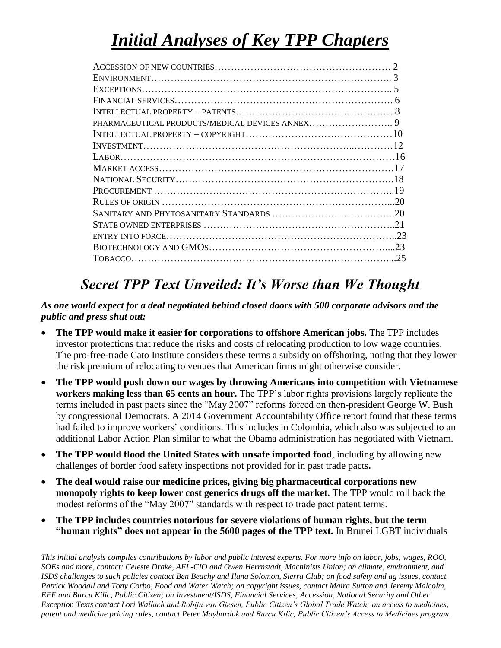# *Initial Analyses of Key TPP Chapters*

| 23 |
|----|
| 25 |
|    |

# *Secret TPP Text Unveiled: It's Worse than We Thought*

#### *As one would expect for a deal negotiated behind closed doors with 500 corporate advisors and the public and press shut out:*

- **The TPP would make it easier for corporations to offshore American jobs.** The TPP includes investor protections that reduce the risks and costs of relocating production to low wage countries. The pro-free-trade Cato Institute considers these terms a subsidy on offshoring, noting that they lower the risk premium of relocating to venues that American firms might otherwise consider.
- **The TPP would push down our wages by throwing Americans into competition with Vietnamese workers making less than 65 cents an hour.** The TPP's labor rights provisions largely replicate the terms included in past pacts since the "May 2007" reforms forced on then-president George W. Bush by congressional Democrats. A 2014 Government Accountability Office report found that these terms had failed to improve workers' conditions. This includes in Colombia, which also was subjected to an additional Labor Action Plan similar to what the Obama administration has negotiated with Vietnam.
- **The TPP would flood the United States with unsafe imported food**, including by allowing new challenges of border food safety inspections not provided for in past trade pacts**.**
- **The deal would raise our medicine prices, giving big pharmaceutical corporations new monopoly rights to keep lower cost generics drugs off the market.** The TPP would roll back the modest reforms of the "May 2007" standards with respect to trade pact patent terms.
- **The TPP includes countries notorious for severe violations of human rights, but the term "human rights" does not appear in the 5600 pages of the TPP text.** In Brunei LGBT individuals

*This initial analysis compiles contributions by labor and public interest experts. For more info on labor, jobs, wages, ROO, SOEs and more, contact: Celeste Drake, AFL-CIO and Owen Herrnstadt, Machinists Union; on climate, environment, and ISDS challenges to such policies contact Ben Beachy and Ilana Solomon, Sierra Club; on food safety and ag issues, contact Patrick Woodall and Tony Corbo, Food and Water Watch; on copyright issues, contact Maira Sutton and Jeremy Malcolm, EFF and Burcu Kilic, Public Citizen; on Investment/ISDS, Financial Services, Accession, National Security and Other Exception Texts contact Lori Wallach and Robijn van Giesen, Public Citizen's Global Trade Watch; on access to medicines, patent and medicine pricing rules, contact Peter Maybarduk and Burcu Kilic, Public Citizen's Access to Medicines program.*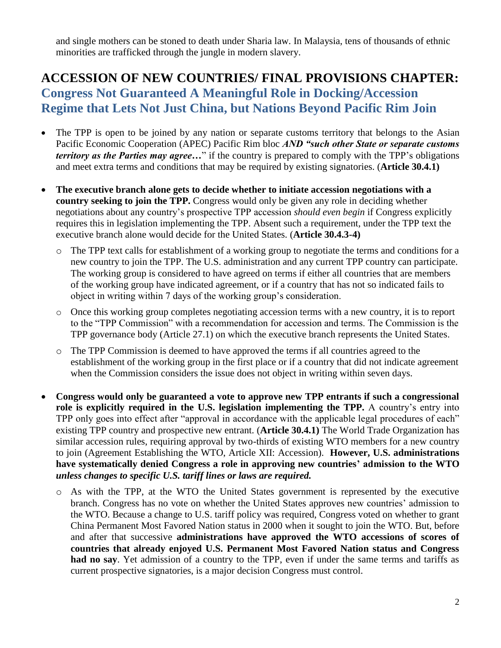and single mothers can be stoned to death under Sharia law. In Malaysia, tens of thousands of ethnic minorities are trafficked through the jungle in modern slavery.

### **ACCESSION OF NEW COUNTRIES/ FINAL PROVISIONS CHAPTER: Congress Not Guaranteed A Meaningful Role in Docking/Accession Regime that Lets Not Just China, but Nations Beyond Pacific Rim Join**

- The TPP is open to be joined by any nation or separate customs territory that belongs to the Asian Pacific Economic Cooperation (APEC) Pacific Rim bloc *AND "such other State or separate customs territory as the Parties may agree...*" if the country is prepared to comply with the TPP's obligations and meet extra terms and conditions that may be required by existing signatories. (**Article 30.4.1)**
- **The executive branch alone gets to decide whether to initiate accession negotiations with a country seeking to join the TPP.** Congress would only be given any role in deciding whether negotiations about any country's prospective TPP accession *should even begin* if Congress explicitly requires this in legislation implementing the TPP. Absent such a requirement, under the TPP text the executive branch alone would decide for the United States. (**Article 30.4.3-4)** 
	- o The TPP text calls for establishment of a working group to negotiate the terms and conditions for a new country to join the TPP. The U.S. administration and any current TPP country can participate. The working group is considered to have agreed on terms if either all countries that are members of the working group have indicated agreement, or if a country that has not so indicated fails to object in writing within 7 days of the working group's consideration.
	- o Once this working group completes negotiating accession terms with a new country, it is to report to the "TPP Commission" with a recommendation for accession and terms. The Commission is the TPP governance body (Article 27.1) on which the executive branch represents the United States.
	- o The TPP Commission is deemed to have approved the terms if all countries agreed to the establishment of the working group in the first place or if a country that did not indicate agreement when the Commission considers the issue does not object in writing within seven days.
- **Congress would only be guaranteed a vote to approve new TPP entrants if such a congressional role is explicitly required in the U.S. legislation implementing the TPP.** A country's entry into TPP only goes into effect after "approval in accordance with the applicable legal procedures of each" existing TPP country and prospective new entrant. (**Article 30.4.1)** The World Trade Organization has similar accession rules, requiring approval by two-thirds of existing WTO members for a new country to join (Agreement Establishing the WTO, Article XII: Accession). **However, U.S. administrations have systematically denied Congress a role in approving new countries' admission to the WTO**  *unless changes to specific U.S. tariff lines or laws are required.*
	- o As with the TPP, at the WTO the United States government is represented by the executive branch. Congress has no vote on whether the United States approves new countries' admission to the WTO. Because a change to U.S. tariff policy was required, Congress voted on whether to grant China Permanent Most Favored Nation status in 2000 when it sought to join the WTO. But, before and after that successive **administrations have approved the WTO accessions of scores of countries that already enjoyed U.S. Permanent Most Favored Nation status and Congress had no say**. Yet admission of a country to the TPP, even if under the same terms and tariffs as current prospective signatories, is a major decision Congress must control.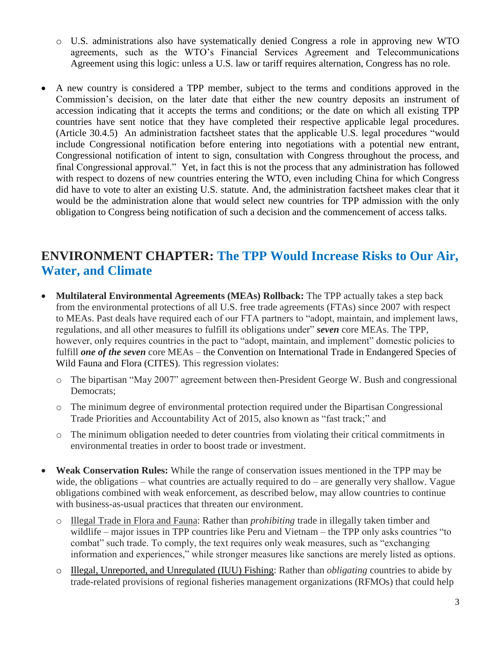- o U.S. administrations also have systematically denied Congress a role in approving new WTO agreements, such as the WTO's Financial Services Agreement and Telecommunications Agreement using this logic: unless a U.S. law or tariff requires alternation, Congress has no role.
- A new country is considered a TPP member, subject to the terms and conditions approved in the Commission's decision, on the later date that either the new country deposits an instrument of accession indicating that it accepts the terms and conditions; or the date on which all existing TPP countries have sent notice that they have completed their respective applicable legal procedures. (Article 30.4.5) An administration factsheet states that the applicable U.S. legal procedures "would include Congressional notification before entering into negotiations with a potential new entrant, Congressional notification of intent to sign, consultation with Congress throughout the process, and final Congressional approval." Yet, in fact this is not the process that any administration has followed with respect to dozens of new countries entering the WTO, even including China for which Congress did have to vote to alter an existing U.S. statute. And, the administration factsheet makes clear that it would be the administration alone that would select new countries for TPP admission with the only obligation to Congress being notification of such a decision and the commencement of access talks.

### **ENVIRONMENT CHAPTER: The TPP Would Increase Risks to Our Air, Water, and Climate**

- **Multilateral Environmental Agreements (MEAs) Rollback:** The TPP actually takes a step back from the environmental protections of all U.S. free trade agreements (FTAs) since 2007 with respect to MEAs. Past deals have required each of our FTA partners to "adopt, maintain, and implement laws, regulations, and all other measures to fulfill its obligations under" *seven* core MEAs. The TPP, however, only requires countries in the pact to "adopt, maintain, and implement" domestic policies to fulfill *one of the seven* core MEAs – the Convention on International Trade in Endangered Species of Wild Fauna and Flora (CITES). This regression violates:
	- o The bipartisan "May 2007" agreement between then-President George W. Bush and congressional Democrats;
	- o The minimum degree of environmental protection required under the Bipartisan Congressional Trade Priorities and Accountability Act of 2015, also known as "fast track;" and
	- o The minimum obligation needed to deter countries from violating their critical commitments in environmental treaties in order to boost trade or investment.
- **Weak Conservation Rules:** While the range of conservation issues mentioned in the TPP may be wide, the obligations – what countries are actually required to do – are generally very shallow. Vague obligations combined with weak enforcement, as described below, may allow countries to continue with business-as-usual practices that threaten our environment.
	- o Illegal Trade in Flora and Fauna: Rather than *prohibiting* trade in illegally taken timber and wildlife – major issues in TPP countries like Peru and Vietnam – the TPP only asks countries "to combat" such trade. To comply, the text requires only weak measures, such as "exchanging information and experiences," while stronger measures like sanctions are merely listed as options.
	- o Illegal, Unreported, and Unregulated (IUU) Fishing: Rather than *obligating* countries to abide by trade-related provisions of regional fisheries management organizations (RFMOs) that could help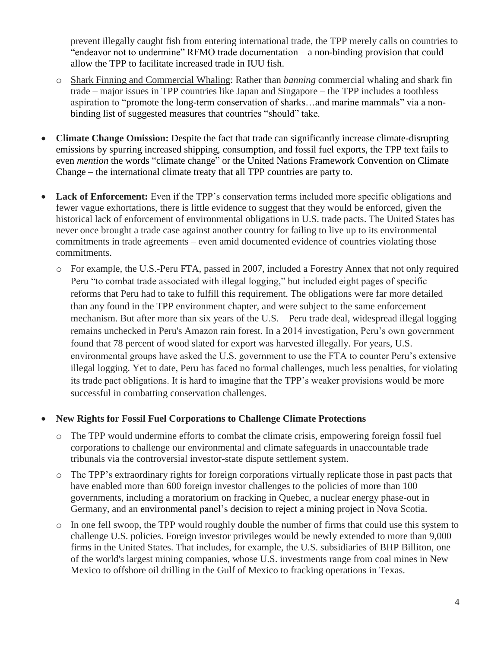prevent illegally caught fish from entering international trade, the TPP merely calls on countries to "endeavor not to undermine" RFMO trade documentation – a non-binding provision that could allow the TPP to facilitate increased trade in IUU fish.

- o Shark Finning and Commercial Whaling: Rather than *banning* commercial whaling and shark fin trade – major issues in TPP countries like Japan and Singapore – the TPP includes a toothless aspiration to "promote the long-term conservation of sharks…and marine mammals" via a nonbinding list of suggested measures that countries "should" take.
- **Climate Change Omission:** Despite the fact that trade can significantly increase climate-disrupting emissions by spurring increased shipping, consumption, and fossil fuel exports, the TPP text fails to even *mention* the words "climate change" or the United Nations Framework Convention on Climate Change – the international climate treaty that all TPP countries are party to.
- Lack of Enforcement: Even if the TPP's conservation terms included more specific obligations and fewer vague exhortations, there is little evidence to suggest that they would be enforced, given the historical lack of enforcement of environmental obligations in U.S. trade pacts. The United States has never once brought a trade case against another country for failing to live up to its environmental commitments in trade agreements – even amid documented evidence of countries violating those commitments.
	- o For example, the U.S.-Peru FTA, passed in 2007, included a Forestry Annex that not only required Peru "to combat trade associated with illegal logging," but included eight pages of specific reforms that Peru had to take to fulfill this requirement. The obligations were far more detailed than any found in the TPP environment chapter, and were subject to the same enforcement mechanism. But after more than six years of the U.S. – Peru trade deal, widespread illegal logging remains unchecked in Peru's Amazon rain forest. In a 2014 investigation, Peru's own government found that 78 percent of wood slated for export was harvested illegally. For years, U.S. environmental groups have asked the U.S. government to use the FTA to counter Peru's extensive illegal logging. Yet to date, Peru has faced no formal challenges, much less penalties, for violating its trade pact obligations. It is hard to imagine that the TPP's weaker provisions would be more successful in combatting conservation challenges.

#### **New Rights for Fossil Fuel Corporations to Challenge Climate Protections**

- o The TPP would undermine efforts to combat the climate crisis, empowering foreign fossil fuel corporations to challenge our environmental and climate safeguards in unaccountable trade tribunals via the controversial investor-state dispute settlement system.
- o The TPP's extraordinary rights for foreign corporations virtually replicate those in past pacts that have enabled more than 600 foreign investor challenges to the policies of more than 100 governments, including a moratorium on fracking in Quebec, a nuclear energy phase-out in Germany, and an environmental panel's decision to reject a mining project in Nova Scotia.
- o In one fell swoop, the TPP would roughly double the number of firms that could use this system to challenge U.S. policies. Foreign investor privileges would be newly extended to more than 9,000 firms in the United States. That includes, for example, the U.S. subsidiaries of BHP Billiton, one of the world's largest mining companies, whose U.S. investments range from coal mines in New Mexico to offshore oil drilling in the Gulf of Mexico to fracking operations in Texas.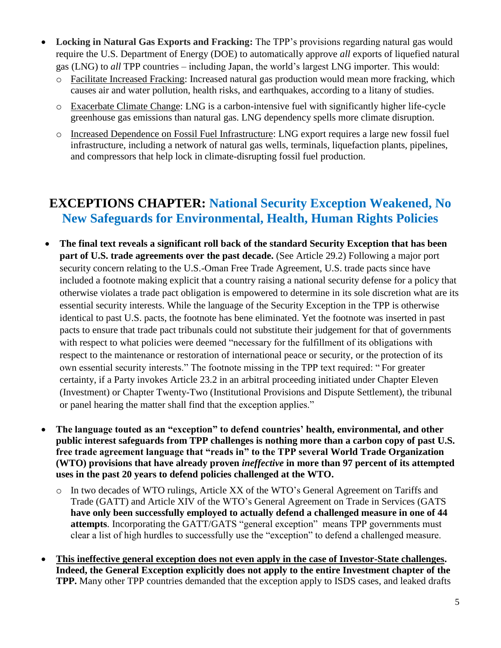- **Locking in Natural Gas Exports and Fracking:** The TPP's provisions regarding natural gas would require the U.S. Department of Energy (DOE) to automatically approve *all* exports of liquefied natural gas (LNG) to *all* TPP countries – including Japan, the world's largest LNG importer. This would:
	- o Facilitate Increased Fracking: Increased natural gas production would mean more fracking, which causes air and water pollution, health risks, and earthquakes, according to a litany of studies.
	- o Exacerbate Climate Change: LNG is a carbon-intensive fuel with significantly higher life-cycle greenhouse gas emissions than natural gas. LNG dependency spells more climate disruption.
	- o Increased Dependence on Fossil Fuel Infrastructure: LNG export requires a large new fossil fuel infrastructure, including a network of natural gas wells, terminals, liquefaction plants, pipelines, and compressors that help lock in climate-disrupting fossil fuel production.

### **EXCEPTIONS CHAPTER: National Security Exception Weakened, No New Safeguards for Environmental, Health, Human Rights Policies**

- **The final text reveals a significant roll back of the standard Security Exception that has been part of U.S. trade agreements over the past decade.** (See Article 29.2) Following a major port security concern relating to the U.S.-Oman Free Trade Agreement, U.S. trade pacts since have included a footnote making explicit that a country raising a national security defense for a policy that otherwise violates a trade pact obligation is empowered to determine in its sole discretion what are its essential security interests. While the language of the Security Exception in the TPP is otherwise identical to past U.S. pacts, the footnote has bene eliminated. Yet the footnote was inserted in past pacts to ensure that trade pact tribunals could not substitute their judgement for that of governments with respect to what policies were deemed "necessary for the fulfillment of its obligations with respect to the maintenance or restoration of international peace or security, or the protection of its own essential security interests." The footnote missing in the TPP text required: " For greater certainty, if a Party invokes Article 23.2 in an arbitral proceeding initiated under Chapter Eleven (Investment) or Chapter Twenty-Two (Institutional Provisions and Dispute Settlement), the tribunal or panel hearing the matter shall find that the exception applies."
- **The language touted as an "exception" to defend countries' health, environmental, and other public interest safeguards from TPP challenges is nothing more than a carbon copy of past U.S. free trade agreement language that "reads in" to the TPP several World Trade Organization (WTO) provisions that have already proven** *ineffective* **in more than 97 percent of its attempted uses in the past 20 years to defend policies challenged at the WTO.**
	- o In two decades of WTO rulings, Article XX of the WTO's General Agreement on Tariffs and Trade (GATT) and Article XIV of the WTO's General Agreement on Trade in Services (GATS **have only been successfully employed to actually defend a challenged measure in one of 44 attempts**. Incorporating the GATT/GATS "general exception" means TPP governments must clear a list of high hurdles to successfully use the "exception" to defend a challenged measure.
- **This ineffective general exception does not even apply in the case of Investor-State challenges. Indeed, the General Exception explicitly does not apply to the entire Investment chapter of the TPP.** Many other TPP countries demanded that the exception apply to ISDS cases, and leaked drafts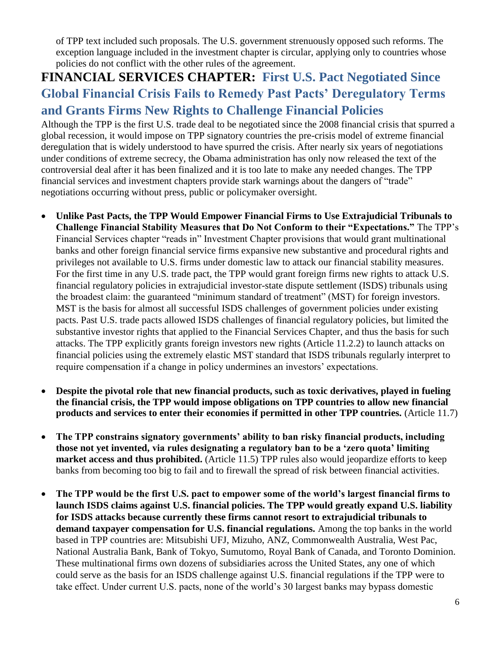of TPP text included such proposals. The U.S. government strenuously opposed such reforms. The exception language included in the investment chapter is circular, applying only to countries whose policies do not conflict with the other rules of the agreement.

# **FINANCIAL SERVICES CHAPTER:****First U.S. Pact Negotiated Since Global Financial Crisis Fails to Remedy Past Pacts' Deregulatory Terms and Grants Firms New Rights to Challenge Financial Policies**

Although the TPP is the first U.S. trade deal to be negotiated since the 2008 financial crisis that spurred a global recession, it would impose on TPP signatory countries the pre-crisis model of extreme financial deregulation that is widely understood to have spurred the crisis. After nearly six years of negotiations under conditions of extreme secrecy, the Obama administration has only now released the text of the controversial deal after it has been finalized and it is too late to make any needed changes. The TPP financial services and investment chapters provide stark warnings about the dangers of "trade" negotiations occurring without press, public or policymaker oversight.

- **Unlike Past Pacts, the TPP Would Empower Financial Firms to Use Extrajudicial Tribunals to Challenge Financial Stability Measures that Do Not Conform to their "Expectations."** The TPP's Financial Services chapter "reads in" Investment Chapter provisions that would grant multinational banks and other foreign financial service firms expansive new substantive and procedural rights and privileges not available to U.S. firms under domestic law to attack our financial stability measures. For the first time in any U.S. trade pact, the TPP would grant foreign firms new rights to attack U.S. financial regulatory policies in extrajudicial investor-state dispute settlement (ISDS) tribunals using the broadest claim: the guaranteed "minimum standard of treatment" (MST) for foreign investors. MST is the basis for almost all successful ISDS challenges of government policies under existing pacts. Past U.S. trade pacts allowed ISDS challenges of financial regulatory policies, but limited the substantive investor rights that applied to the Financial Services Chapter, and thus the basis for such attacks. The TPP explicitly grants foreign investors new rights (Article 11.2.2) to launch attacks on financial policies using the extremely elastic MST standard that ISDS tribunals regularly interpret to require compensation if a change in policy undermines an investors' expectations.
- **Despite the pivotal role that new financial products, such as toxic derivatives, played in fueling the financial crisis, the TPP would impose obligations on TPP countries to allow new financial products and services to enter their economies if permitted in other TPP countries.** (Article 11.7)
- **The TPP constrains signatory governments' ability to ban risky financial products, including those not yet invented, via rules designating a regulatory ban to be a 'zero quota' limiting market access and thus prohibited.** (Article 11.5) TPP rules also would jeopardize efforts to keep banks from becoming too big to fail and to firewall the spread of risk between financial activities.
- **The TPP would be the first U.S. pact to empower some of the world's largest financial firms to launch ISDS claims against U.S. financial policies. The TPP would greatly expand U.S. liability for ISDS attacks because currently these firms cannot resort to extrajudicial tribunals to demand taxpayer compensation for U.S. financial regulations.** Among the top banks in the world based in TPP countries are: Mitsubishi UFJ, Mizuho, ANZ, Commonwealth Australia, West Pac, National Australia Bank, Bank of Tokyo, Sumutomo, Royal Bank of Canada, and Toronto Dominion. These multinational firms own dozens of subsidiaries across the United States, any one of which could serve as the basis for an ISDS challenge against U.S. financial regulations if the TPP were to take effect. Under current U.S. pacts, none of the world's 30 largest banks may bypass domestic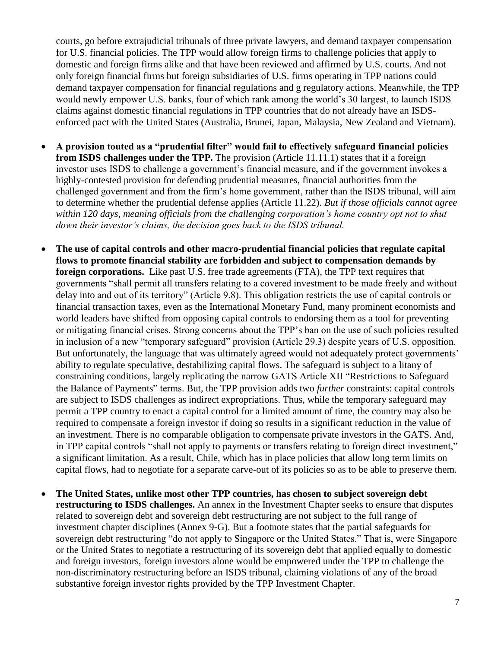courts, go before extrajudicial tribunals of three private lawyers, and demand taxpayer compensation for U.S. financial policies. The TPP would allow foreign firms to challenge policies that apply to domestic and foreign firms alike and that have been reviewed and affirmed by U.S. courts. And not only foreign financial firms but foreign subsidiaries of U.S. firms operating in TPP nations could demand taxpayer compensation for financial regulations and g regulatory actions. Meanwhile, the TPP would newly empower U.S. banks, four of which rank among the world's 30 largest, to launch ISDS claims against domestic financial regulations in TPP countries that do not already have an ISDSenforced pact with the United States (Australia, Brunei, Japan, Malaysia, New Zealand and Vietnam).

- **A provision touted as a "prudential filter" would fail to effectively safeguard financial policies from ISDS challenges under the TPP.** The provision (Article 11.11.1) states that if a foreign investor uses ISDS to challenge a government's financial measure, and if the government invokes a highly-contested provision for defending prudential measures, financial authorities from the challenged government and from the firm's home government, rather than the ISDS tribunal, will aim to determine whether the prudential defense applies (Article 11.22). *But if those officials cannot agree within 120 days, meaning officials from the challenging corporation's home country opt not to shut down their investor's claims, the decision goes back to the ISDS tribunal.*
- **The use of capital controls and other macro-prudential financial policies that regulate capital flows to promote financial stability are forbidden and subject to compensation demands by foreign corporations.** Like past U.S. free trade agreements (FTA), the TPP text requires that governments "shall permit all transfers relating to a covered investment to be made freely and without delay into and out of its territory" (Article 9.8). This obligation restricts the use of capital controls or financial transaction taxes, even as the International Monetary Fund, many prominent economists and world leaders have shifted from opposing capital controls to endorsing them as a tool for preventing or mitigating financial crises. Strong concerns about the TPP's ban on the use of such policies resulted in inclusion of a new "temporary safeguard" provision (Article 29.3) despite years of U.S. opposition. But unfortunately, the language that was ultimately agreed would not adequately protect governments' ability to regulate speculative, destabilizing capital flows. The safeguard is subject to a litany of constraining conditions, largely replicating the narrow GATS Article XII "Restrictions to Safeguard the Balance of Payments" terms. But, the TPP provision adds two *further* constraints: capital controls are subject to ISDS challenges as indirect expropriations. Thus, while the temporary safeguard may permit a TPP country to enact a capital control for a limited amount of time, the country may also be required to compensate a foreign investor if doing so results in a significant reduction in the value of an investment. There is no comparable obligation to compensate private investors in the GATS. And, in TPP capital controls "shall not apply to payments or transfers relating to foreign direct investment," a significant limitation. As a result, Chile, which has in place policies that allow long term limits on capital flows, had to negotiate for a separate carve-out of its policies so as to be able to preserve them.
- **The United States, unlike most other TPP countries, has chosen to subject sovereign debt restructuring to ISDS challenges.** An annex in the Investment Chapter seeks to ensure that disputes related to sovereign debt and sovereign debt restructuring are not subject to the full range of investment chapter disciplines (Annex 9-G). But a footnote states that the partial safeguards for sovereign debt restructuring "do not apply to Singapore or the United States." That is, were Singapore or the United States to negotiate a restructuring of its sovereign debt that applied equally to domestic and foreign investors, foreign investors alone would be empowered under the TPP to challenge the non-discriminatory restructuring before an ISDS tribunal, claiming violations of any of the broad substantive foreign investor rights provided by the TPP Investment Chapter.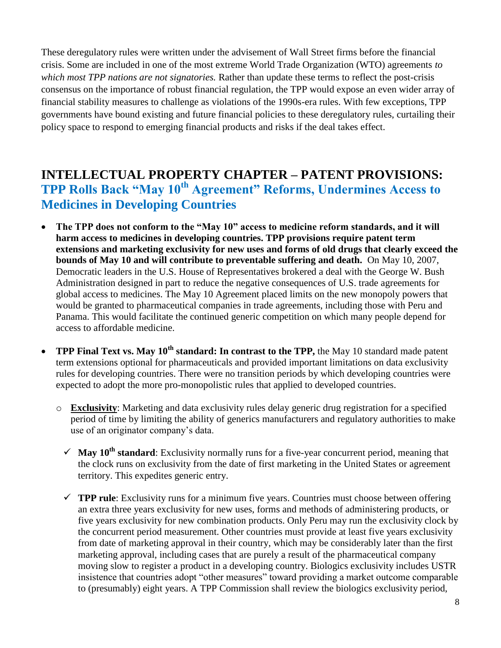These deregulatory rules were written under the advisement of Wall Street firms before the financial crisis. Some are included in one of the most extreme World Trade Organization (WTO) agreements *to which most TPP nations are not signatories.* Rather than update these terms to reflect the post-crisis consensus on the importance of robust financial regulation, the TPP would expose an even wider array of financial stability measures to challenge as violations of the 1990s-era rules. With few exceptions, TPP governments have bound existing and future financial policies to these deregulatory rules, curtailing their policy space to respond to emerging financial products and risks if the deal takes effect.

### **INTELLECTUAL PROPERTY CHAPTER – PATENT PROVISIONS: TPP Rolls Back "May 10th Agreement" Reforms, Undermines Access to Medicines in Developing Countries**

- **The TPP does not conform to the "May 10" access to medicine reform standards, and it will harm access to medicines in developing countries. TPP provisions require patent term extensions and marketing exclusivity for new uses and forms of old drugs that clearly exceed the bounds of May 10 and will contribute to preventable suffering and death.** On May 10, 2007, Democratic leaders in the U.S. House of Representatives brokered a deal with the George W. Bush Administration designed in part to reduce the negative consequences of U.S. trade agreements for global access to medicines. The May 10 Agreement placed limits on the new monopoly powers that would be granted to pharmaceutical companies in trade agreements, including those with Peru and Panama. This would facilitate the continued generic competition on which many people depend for access to affordable medicine.
- **TPP Final Text vs. May 10th standard: In contrast to the TPP,** the May 10 standard made patent term extensions optional for pharmaceuticals and provided important limitations on data exclusivity rules for developing countries. There were no transition periods by which developing countries were expected to adopt the more pro-monopolistic rules that applied to developed countries.
	- o **Exclusivity**: Marketing and data exclusivity rules delay generic drug registration for a specified period of time by limiting the ability of generics manufacturers and regulatory authorities to make use of an originator company's data.
		- $\checkmark$  **May 10<sup>th</sup> standard**: Exclusivity normally runs for a five-year concurrent period, meaning that the clock runs on exclusivity from the date of first marketing in the United States or agreement territory. This expedites generic entry.
		- $\checkmark$  **TPP rule**: Exclusivity runs for a minimum five years. Countries must choose between offering an extra three years exclusivity for new uses, forms and methods of administering products, or five years exclusivity for new combination products. Only Peru may run the exclusivity clock by the concurrent period measurement. Other countries must provide at least five years exclusivity from date of marketing approval in their country, which may be considerably later than the first marketing approval, including cases that are purely a result of the pharmaceutical company moving slow to register a product in a developing country. Biologics exclusivity includes USTR insistence that countries adopt "other measures" toward providing a market outcome comparable to (presumably) eight years. A TPP Commission shall review the biologics exclusivity period,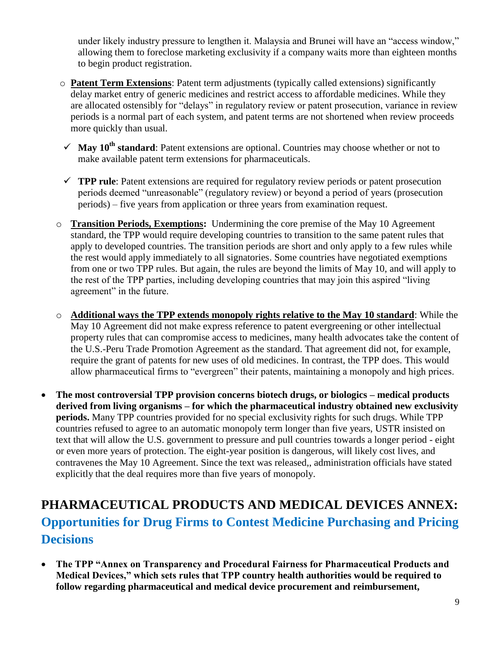under likely industry pressure to lengthen it. Malaysia and Brunei will have an "access window," allowing them to foreclose marketing exclusivity if a company waits more than eighteen months to begin product registration.

- o **Patent Term Extensions**: Patent term adjustments (typically called extensions) significantly delay market entry of generic medicines and restrict access to affordable medicines. While they are allocated ostensibly for "delays" in regulatory review or patent prosecution, variance in review periods is a normal part of each system, and patent terms are not shortened when review proceeds more quickly than usual.
- $\checkmark$  **May 10<sup>th</sup> standard**: Patent extensions are optional. Countries may choose whether or not to make available patent term extensions for pharmaceuticals.
- **TPP rule**: Patent extensions are required for regulatory review periods or patent prosecution periods deemed "unreasonable" (regulatory review) or beyond a period of years (prosecution periods) – five years from application or three years from examination request.
- o **Transition Periods, Exemptions:** Undermining the core premise of the May 10 Agreement standard, the TPP would require developing countries to transition to the same patent rules that apply to developed countries. The transition periods are short and only apply to a few rules while the rest would apply immediately to all signatories. Some countries have negotiated exemptions from one or two TPP rules. But again, the rules are beyond the limits of May 10, and will apply to the rest of the TPP parties, including developing countries that may join this aspired "living agreement" in the future.
- o **Additional ways the TPP extends monopoly rights relative to the May 10 standard**: While the May 10 Agreement did not make express reference to patent evergreening or other intellectual property rules that can compromise access to medicines, many health advocates take the content of the U.S.-Peru Trade Promotion Agreement as the standard. That agreement did not, for example, require the grant of patents for new uses of old medicines. In contrast, the TPP does. This would allow pharmaceutical firms to "evergreen" their patents, maintaining a monopoly and high prices.
- **The most controversial TPP provision concerns biotech drugs, or biologics – medical products derived from living organisms – for which the pharmaceutical industry obtained new exclusivity periods.** Many TPP countries provided for no special exclusivity rights for such drugs. While TPP countries refused to agree to an automatic monopoly term longer than five years, USTR insisted on text that will allow the U.S. government to pressure and pull countries towards a longer period - eight or even more years of protection. The eight-year position is dangerous, will likely cost lives, and contravenes the May 10 Agreement. Since the text was released,, administration officials have stated explicitly that the deal requires more than five years of monopoly.

# **PHARMACEUTICAL PRODUCTS AND MEDICAL DEVICES ANNEX: Opportunities for Drug Firms to Contest Medicine Purchasing and Pricing Decisions**

 **The TPP "Annex on Transparency and Procedural Fairness for Pharmaceutical Products and Medical Devices," which sets rules that TPP country health authorities would be required to follow regarding pharmaceutical and medical device procurement and reimbursement,**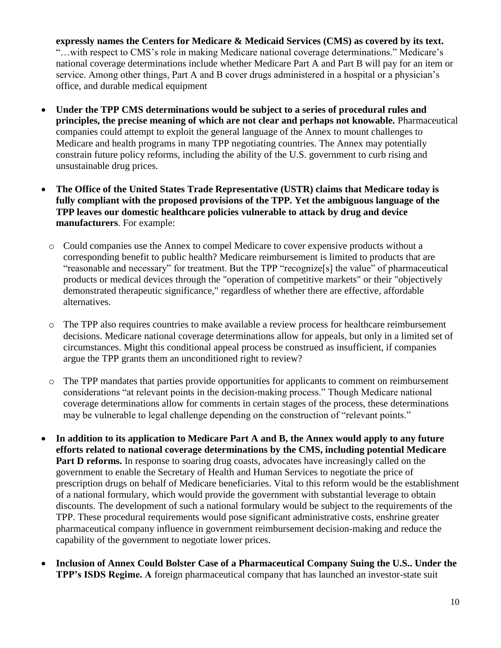**expressly names the Centers for Medicare & Medicaid Services (CMS) as covered by its text.** "…with respect to CMS's role in making Medicare national coverage determinations." Medicare's national coverage determinations include whether Medicare Part A and Part B will pay for an item or service. Among other things, Part A and B cover drugs administered in a hospital or a physician's office, and durable medical equipment

- **Under the TPP CMS determinations would be subject to a series of procedural rules and principles, the precise meaning of which are not clear and perhaps not knowable.** Pharmaceutical companies could attempt to exploit the general language of the Annex to mount challenges to Medicare and health programs in many TPP negotiating countries. The Annex may potentially constrain future policy reforms, including the ability of the U.S. government to curb rising and unsustainable drug prices.
- **The Office of the United States Trade Representative (USTR) claims that Medicare today is fully compliant with the proposed provisions of the TPP. Yet the ambiguous language of the TPP leaves our domestic healthcare policies vulnerable to attack by drug and device manufacturers**. For example:
	- o Could companies use the Annex to compel Medicare to cover expensive products without a corresponding benefit to public health? Medicare reimbursement is limited to products that are "reasonable and necessary" for treatment. But the TPP "recognize[s] the value" of pharmaceutical products or medical devices through the "operation of competitive markets" or their "objectively demonstrated therapeutic significance," regardless of whether there are effective, affordable alternatives.
	- o The TPP also requires countries to make available a review process for healthcare reimbursement decisions. Medicare national coverage determinations allow for appeals, but only in a limited set of circumstances. Might this conditional appeal process be construed as insufficient, if companies argue the TPP grants them an unconditioned right to review?
	- o The TPP mandates that parties provide opportunities for applicants to comment on reimbursement considerations "at relevant points in the decision-making process." Though Medicare national coverage determinations allow for comments in certain stages of the process, these determinations may be vulnerable to legal challenge depending on the construction of "relevant points."
- **In addition to its application to Medicare Part A and B, the Annex would apply to any future efforts related to national coverage determinations by the CMS, including potential Medicare Part D reforms.** In response to soaring drug coasts, advocates have increasingly called on the government to enable the Secretary of Health and Human Services to negotiate the price of prescription drugs on behalf of Medicare beneficiaries. Vital to this reform would be the establishment of a national formulary, which would provide the government with substantial leverage to obtain discounts. The development of such a national formulary would be subject to the requirements of the TPP. These procedural requirements would pose significant administrative costs, enshrine greater pharmaceutical company influence in government reimbursement decision-making and reduce the capability of the government to negotiate lower prices.
- **Inclusion of Annex Could Bolster Case of a Pharmaceutical Company Suing the U.S.. Under the TPP's ISDS Regime. A** foreign pharmaceutical company that has launched an investor-state suit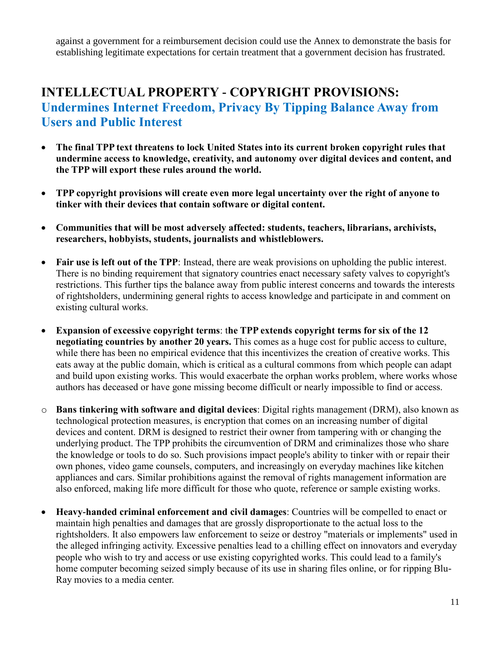against a government for a reimbursement decision could use the Annex to demonstrate the basis for establishing legitimate expectations for certain treatment that a government decision has frustrated.

### **INTELLECTUAL PROPERTY - COPYRIGHT PROVISIONS: Undermines Internet Freedom, Privacy By Tipping Balance Away from Users and Public Interest**

- **The final TPP text threatens to lock United States into its current broken copyright rules that undermine access to knowledge, creativity, and autonomy over digital devices and content, and the TPP will export these rules around the world.**
- **TPP copyright provisions will create even more legal uncertainty over the right of anyone to tinker with their devices that contain software or digital content.**
- **Communities that will be most adversely affected: students, teachers, librarians, archivists, researchers, hobbyists, students, journalists and whistleblowers.**
- **Fair use is left out of the TPP**: Instead, there are weak provisions on upholding the public interest. There is no binding requirement that signatory countries enact necessary safety valves to copyright's restrictions. This further tips the balance away from public interest concerns and towards the interests of rightsholders, undermining general rights to access knowledge and participate in and comment on existing cultural works.
- **Expansion of excessive copyright terms**: t**he TPP extends copyright terms for six of the 12 negotiating countries by another 20 years.** This comes as a huge cost for public access to culture, while there has been no empirical evidence that this incentivizes the creation of creative works. This eats away at the public domain, which is critical as a cultural commons from which people can adapt and build upon existing works. This would exacerbate the orphan works problem, where works whose authors has deceased or have gone missing become difficult or nearly impossible to find or access.
- o **Bans tinkering with software and digital devices**: Digital rights management (DRM), also known as technological protection measures, is encryption that comes on an increasing number of digital devices and content. DRM is designed to restrict their owner from tampering with or changing the underlying product. The TPP prohibits the circumvention of DRM and criminalizes those who share the knowledge or tools to do so. Such provisions impact people's ability to tinker with or repair their own phones, video game counsels, computers, and increasingly on everyday machines like kitchen appliances and cars. Similar prohibitions against the removal of rights management information are also enforced, making life more difficult for those who quote, reference or sample existing works.
- **Heavy-handed criminal enforcement and civil damages**: Countries will be compelled to enact or maintain high penalties and damages that are grossly disproportionate to the actual loss to the rightsholders. It also empowers law enforcement to seize or destroy "materials or implements" used in the alleged infringing activity. Excessive penalties lead to a chilling effect on innovators and everyday people who wish to try and access or use existing copyrighted works. This could lead to a family's home computer becoming seized simply because of its use in sharing files online, or for ripping Blu-Ray movies to a media center.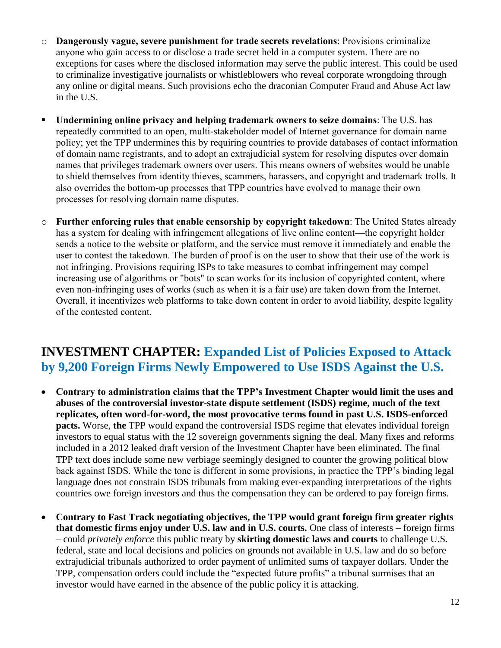- o **Dangerously vague, severe punishment for trade secrets revelations**: Provisions criminalize anyone who gain access to or disclose a trade secret held in a computer system. There are no exceptions for cases where the disclosed information may serve the public interest. This could be used to criminalize investigative journalists or whistleblowers who reveal corporate wrongdoing through any online or digital means. Such provisions echo the draconian Computer Fraud and Abuse Act law in the U.S.
- **Undermining online privacy and helping trademark owners to seize domains**: The U.S. has repeatedly committed to an open, multi-stakeholder model of Internet governance for domain name policy; yet the TPP undermines this by requiring countries to provide databases of contact information of domain name registrants, and to adopt an extrajudicial system for resolving disputes over domain names that privileges trademark owners over users. This means owners of websites would be unable to shield themselves from identity thieves, scammers, harassers, and copyright and trademark trolls. It also overrides the bottom-up processes that TPP countries have evolved to manage their own processes for resolving domain name disputes.
- o **Further enforcing rules that enable censorship by copyright takedown**: The United States already has a system for dealing with infringement allegations of live online content—the copyright holder sends a notice to the website or platform, and the service must remove it immediately and enable the user to contest the takedown. The burden of proof is on the user to show that their use of the work is not infringing. Provisions requiring ISPs to take measures to combat infringement may compel increasing use of algorithms or "bots" to scan works for its inclusion of copyrighted content, where even non-infringing uses of works (such as when it is a fair use) are taken down from the Internet. Overall, it incentivizes web platforms to take down content in order to avoid liability, despite legality of the contested content.

### **INVESTMENT CHAPTER: Expanded List of Policies Exposed to Attack by 9,200 Foreign Firms Newly Empowered to Use ISDS Against the U.S.**

- **Contrary to administration claims that the TPP's Investment Chapter would limit the uses and abuses of the controversial investor-state dispute settlement (ISDS) regime, much of the text replicates, often word-for-word, the most provocative terms found in past U.S. ISDS-enforced pacts.** Worse, **the** TPP would expand the controversial ISDS regime that elevates individual foreign investors to equal status with the 12 sovereign governments signing the deal. Many fixes and reforms included in a 2012 leaked draft version of the Investment Chapter have been eliminated. The final TPP text does include some new verbiage seemingly designed to counter the growing political blow back against ISDS. While the tone is different in some provisions, in practice the TPP's binding legal language does not constrain ISDS tribunals from making ever-expanding interpretations of the rights countries owe foreign investors and thus the compensation they can be ordered to pay foreign firms.
- **Contrary to Fast Track negotiating objectives, the TPP would grant foreign firm greater rights that domestic firms enjoy under U.S. law and in U.S. courts.** One class of interests – foreign firms – could *privately enforce* this public treaty by **skirting domestic laws and courts** to challenge U.S. federal, state and local decisions and policies on grounds not available in U.S. law and do so before extrajudicial tribunals authorized to order payment of unlimited sums of taxpayer dollars. Under the TPP, compensation orders could include the "expected future profits" a tribunal surmises that an investor would have earned in the absence of the public policy it is attacking.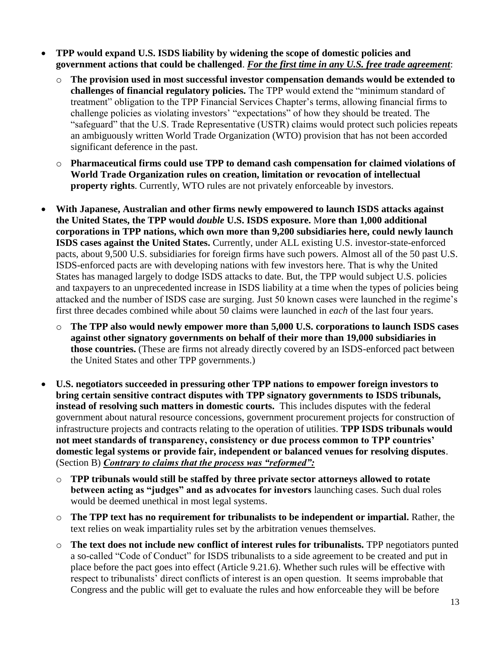- **TPP would expand U.S. ISDS liability by widening the scope of domestic policies and government actions that could be challenged**. *For the first time in any U.S. free trade agreement*:
	- o **The provision used in most successful investor compensation demands would be extended to challenges of financial regulatory policies.** The TPP would extend the "minimum standard of treatment" obligation to the TPP Financial Services Chapter's terms, allowing financial firms to challenge policies as violating investors' "expectations" of how they should be treated. The "safeguard" that the U.S. Trade Representative (USTR) claims would protect such policies repeats an ambiguously written World Trade Organization (WTO) provision that has not been accorded significant deference in the past.
	- o **Pharmaceutical firms could use TPP to demand cash compensation for claimed violations of World Trade Organization rules on creation, limitation or revocation of intellectual property rights**. Currently, WTO rules are not privately enforceable by investors.
- **With Japanese, Australian and other firms newly empowered to launch ISDS attacks against the United States, the TPP would** *double* **U.S. ISDS exposure.** M**ore than 1,000 additional corporations in TPP nations, which own more than 9,200 subsidiaries here, could newly launch ISDS cases against the United States.** Currently, under ALL existing U.S. investor-state-enforced pacts, about 9,500 U.S. subsidiaries for foreign firms have such powers. Almost all of the 50 past U.S. ISDS-enforced pacts are with developing nations with few investors here. That is why the United States has managed largely to dodge ISDS attacks to date. But, the TPP would subject U.S. policies and taxpayers to an unprecedented increase in ISDS liability at a time when the types of policies being attacked and the number of ISDS case are surging. Just 50 known cases were launched in the regime's first three decades combined while about 50 claims were launched in *each* of the last four years.
	- o **The TPP also would newly empower more than 5,000 U.S. corporations to launch ISDS cases against other signatory governments on behalf of their more than 19,000 subsidiaries in those countries.** (These are firms not already directly covered by an ISDS-enforced pact between the United States and other TPP governments.)
- **U.S. negotiators succeeded in pressuring other TPP nations to empower foreign investors to bring certain sensitive contract disputes with TPP signatory governments to ISDS tribunals, instead of resolving such matters in domestic courts.** This includes disputes with the federal government about natural resource concessions, government procurement projects for construction of infrastructure projects and contracts relating to the operation of utilities. **TPP ISDS tribunals would not meet standards of transparency, consistency or due process common to TPP countries' domestic legal systems or provide fair, independent or balanced venues for resolving disputes**. (Section B) *Contrary to claims that the process was "reformed":*
	- o **TPP tribunals would still be staffed by three private sector attorneys allowed to rotate between acting as "judges" and as advocates for investors** launching cases. Such dual roles would be deemed unethical in most legal systems.
	- o **The TPP text has no requirement for tribunalists to be independent or impartial.** Rather, the text relies on weak impartiality rules set by the arbitration venues themselves.
	- o **The text does not include new conflict of interest rules for tribunalists.** TPP negotiators punted a so-called "Code of Conduct" for ISDS tribunalists to a side agreement to be created and put in place before the pact goes into effect (Article 9.21.6). Whether such rules will be effective with respect to tribunalists' direct conflicts of interest is an open question. It seems improbable that Congress and the public will get to evaluate the rules and how enforceable they will be before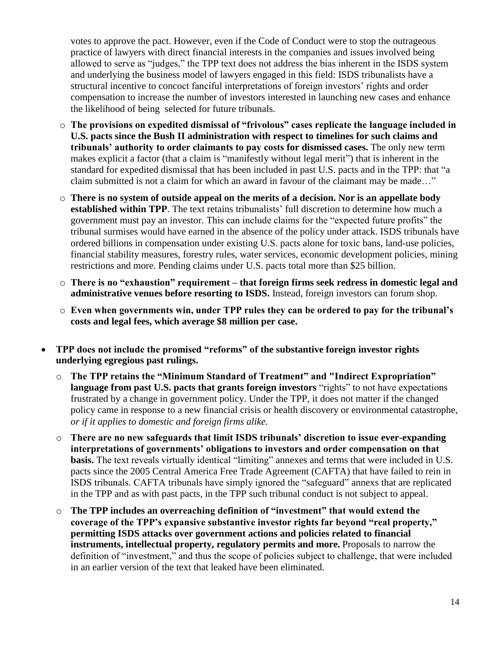votes to approve the pact. However, even if the Code of Conduct were to stop the outrageous practice of lawyers with direct financial interests in the companies and issues involved being allowed to serve as "judges," the TPP text does not address the bias inherent in the ISDS system and underlying the business model of lawyers engaged in this field: ISDS tribunalists have a structural incentive to concoct fanciful interpretations of foreign investors' rights and order compensation to increase the number of investors interested in launching new cases and enhance the likelihood of being selected for future tribunals.

- o **The provisions on expedited dismissal of "frivolous" cases replicate the language included in U.S. pacts since the Bush II administration with respect to timelines for such claims and tribunals' authority to order claimants to pay costs for dismissed cases.** The only new term makes explicit a factor (that a claim is "manifestly without legal merit") that is inherent in the standard for expedited dismissal that has been included in past U.S. pacts and in the TPP: that "a claim submitted is not a claim for which an award in favour of the claimant may be made…"
- o **There is no system of outside appeal on the merits of a decision. Nor is an appellate body established within TPP**. The text retains tribunalists' full discretion to determine how much a government must pay an investor. This can include claims for the "expected future profits" the tribunal surmises would have earned in the absence of the policy under attack. ISDS tribunals have ordered billions in compensation under existing U.S. pacts alone for toxic bans, land-use policies, financial stability measures, forestry rules, water services, economic development policies, mining restrictions and more. Pending claims under U.S. pacts total more than \$25 billion.
- o **There is no "exhaustion" requirement – that foreign firms seek redress in domestic legal and administrative venues before resorting to ISDS.** Instead, foreign investors can forum shop.
- o **Even when governments win, under TPP rules they can be ordered to pay for the tribunal's costs and legal fees, which average \$8 million per case.**
- **TPP does not include the promised "reforms" of the substantive foreign investor rights underlying egregious past rulings.** 
	- o **The TPP retains the "Minimum Standard of Treatment" and "Indirect Expropriation" language from past U.S. pacts that grants foreign investors** "rights" to not have expectations frustrated by a change in government policy. Under the TPP, it does not matter if the changed policy came in response to a new financial crisis or health discovery or environmental catastrophe, *or if it applies to domestic and foreign firms alike.*
	- o **There are no new safeguards that limit ISDS tribunals' discretion to issue ever-expanding interpretations of governments' obligations to investors and order compensation on that basis.** The text reveals virtually identical "limiting" annexes and terms that were included in U.S. pacts since the 2005 Central America Free Trade Agreement (CAFTA) that have failed to rein in ISDS tribunals. CAFTA tribunals have simply ignored the "safeguard" annexs that are replicated in the TPP and as with past pacts, in the TPP such tribunal conduct is not subject to appeal.
	- o **The TPP includes an overreaching definition of "investment" that would extend the coverage of the TPP's expansive substantive investor rights far beyond "real property," permitting ISDS attacks over government actions and policies related to financial instruments, intellectual property, regulatory permits and more.** Proposals to narrow the definition of "investment," and thus the scope of policies subject to challenge, that were included in an earlier version of the text that leaked have been eliminated.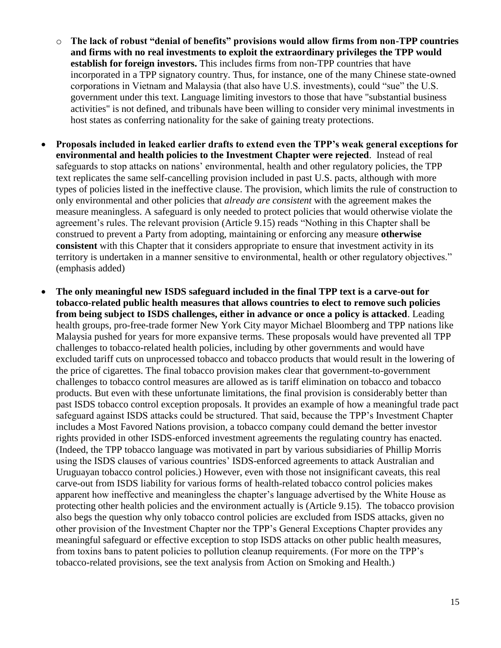- o **The lack of robust "denial of benefits" provisions would allow firms from non-TPP countries and firms with no real investments to exploit the extraordinary privileges the TPP would establish for foreign investors.** This includes firms from non-TPP countries that have incorporated in a TPP signatory country. Thus, for instance, one of the many Chinese state-owned corporations in Vietnam and Malaysia (that also have U.S. investments), could "sue" the U.S. government under this text. Language limiting investors to those that have "substantial business activities" is not defined, and tribunals have been willing to consider very minimal investments in host states as conferring nationality for the sake of gaining treaty protections.
- **Proposals included in leaked earlier drafts to extend even the TPP's weak general exceptions for environmental and health policies to the Investment Chapter were rejected**. Instead of real safeguards to stop attacks on nations' environmental, health and other regulatory policies, the TPP text replicates the same self-cancelling provision included in past U.S. pacts, although with more types of policies listed in the ineffective clause. The provision, which limits the rule of construction to only environmental and other policies that *already are consistent* with the agreement makes the measure meaningless. A safeguard is only needed to protect policies that would otherwise violate the agreement's rules. The relevant provision (Article 9.15) reads "Nothing in this Chapter shall be construed to prevent a Party from adopting, maintaining or enforcing any measure **otherwise consistent** with this Chapter that it considers appropriate to ensure that investment activity in its territory is undertaken in a manner sensitive to environmental, health or other regulatory objectives." (emphasis added)
- **The only meaningful new ISDS safeguard included in the final TPP text is a carve-out for tobacco-related public health measures that allows countries to elect to remove such policies from being subject to ISDS challenges, either in advance or once a policy is attacked**. Leading health groups, pro-free-trade former New York City mayor Michael Bloomberg and TPP nations like Malaysia pushed for years for more expansive terms. These proposals would have prevented all TPP challenges to tobacco-related health policies, including by other governments and would have excluded tariff cuts on unprocessed tobacco and tobacco products that would result in the lowering of the price of cigarettes. The final tobacco provision makes clear that government-to-government challenges to tobacco control measures are allowed as is tariff elimination on tobacco and tobacco products. But even with these unfortunate limitations, the final provision is considerably better than past ISDS tobacco control exception proposals. It provides an example of how a meaningful trade pact safeguard against ISDS attacks could be structured. That said, because the TPP's Investment Chapter includes a Most Favored Nations provision, a tobacco company could demand the better investor rights provided in other ISDS-enforced investment agreements the regulating country has enacted. (Indeed, the TPP tobacco language was motivated in part by various subsidiaries of Phillip Morris using the ISDS clauses of various countries' ISDS-enforced agreements to attack Australian and Uruguayan tobacco control policies.) However, even with those not insignificant caveats, this real carve-out from ISDS liability for various forms of health-related tobacco control policies makes apparent how ineffective and meaningless the chapter's language advertised by the White House as protecting other health policies and the environment actually is (Article 9.15). The tobacco provision also begs the question why only tobacco control policies are excluded from ISDS attacks, given no other provision of the Investment Chapter nor the TPP's General Exceptions Chapter provides any meaningful safeguard or effective exception to stop ISDS attacks on other public health measures, from toxins bans to patent policies to pollution cleanup requirements. (For more on the TPP's tobacco-related provisions, see the text analysis from Action on Smoking and Health.)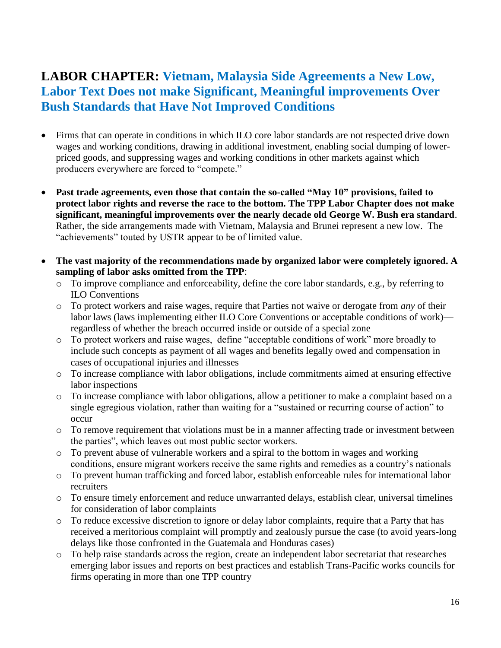### **LABOR CHAPTER: Vietnam, Malaysia Side Agreements a New Low, Labor Text Does not make Significant, Meaningful improvements Over Bush Standards that Have Not Improved Conditions**

- Firms that can operate in conditions in which ILO core labor standards are not respected drive down wages and working conditions, drawing in additional investment, enabling social dumping of lowerpriced goods, and suppressing wages and working conditions in other markets against which producers everywhere are forced to "compete."
- **Past trade agreements, even those that contain the so-called "May 10" provisions, failed to protect labor rights and reverse the race to the bottom. The TPP Labor Chapter does not make significant, meaningful improvements over the nearly decade old George W. Bush era standard**. Rather, the side arrangements made with Vietnam, Malaysia and Brunei represent a new low. The "achievements" touted by USTR appear to be of limited value.
- **The vast majority of the recommendations made by organized labor were completely ignored. A sampling of labor asks omitted from the TPP**:
	- o To improve compliance and enforceability, define the core labor standards, e.g., by referring to ILO Conventions
	- o To protect workers and raise wages, require that Parties not waive or derogate from *any* of their labor laws (laws implementing either ILO Core Conventions or acceptable conditions of work) regardless of whether the breach occurred inside or outside of a special zone
	- o To protect workers and raise wages, define "acceptable conditions of work" more broadly to include such concepts as payment of all wages and benefits legally owed and compensation in cases of occupational injuries and illnesses
	- o To increase compliance with labor obligations, include commitments aimed at ensuring effective labor inspections
	- o To increase compliance with labor obligations, allow a petitioner to make a complaint based on a single egregious violation, rather than waiting for a "sustained or recurring course of action" to occur
	- o To remove requirement that violations must be in a manner affecting trade or investment between the parties", which leaves out most public sector workers.
	- o To prevent abuse of vulnerable workers and a spiral to the bottom in wages and working conditions, ensure migrant workers receive the same rights and remedies as a country's nationals
	- o To prevent human trafficking and forced labor, establish enforceable rules for international labor recruiters
	- o To ensure timely enforcement and reduce unwarranted delays, establish clear, universal timelines for consideration of labor complaints
	- o To reduce excessive discretion to ignore or delay labor complaints, require that a Party that has received a meritorious complaint will promptly and zealously pursue the case (to avoid years-long delays like those confronted in the Guatemala and Honduras cases)
	- o To help raise standards across the region, create an independent labor secretariat that researches emerging labor issues and reports on best practices and establish Trans-Pacific works councils for firms operating in more than one TPP country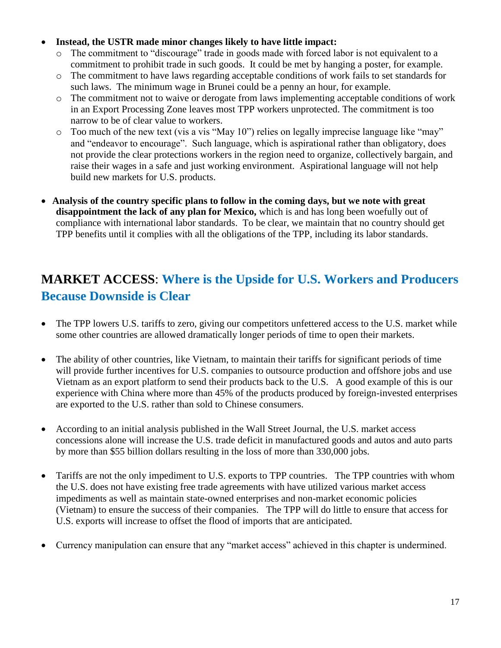#### **Instead, the USTR made minor changes likely to have little impact:**

- o The commitment to "discourage" trade in goods made with forced labor is not equivalent to a commitment to prohibit trade in such goods. It could be met by hanging a poster, for example.
- o The commitment to have laws regarding acceptable conditions of work fails to set standards for such laws. The minimum wage in Brunei could be a penny an hour, for example.
- o The commitment not to waive or derogate from laws implementing acceptable conditions of work in an Export Processing Zone leaves most TPP workers unprotected. The commitment is too narrow to be of clear value to workers.
- o Too much of the new text (vis a vis "May 10") relies on legally imprecise language like "may" and "endeavor to encourage". Such language, which is aspirational rather than obligatory, does not provide the clear protections workers in the region need to organize, collectively bargain, and raise their wages in a safe and just working environment. Aspirational language will not help build new markets for U.S. products.
- **Analysis of the country specific plans to follow in the coming days, but we note with great disappointment the lack of any plan for Mexico,** which is and has long been woefully out of compliance with international labor standards. To be clear, we maintain that no country should get TPP benefits until it complies with all the obligations of the TPP, including its labor standards.

# **MARKET ACCESS**: **Where is the Upside for U.S. Workers and Producers Because Downside is Clear**

- The TPP lowers U.S. tariffs to zero, giving our competitors unfettered access to the U.S. market while some other countries are allowed dramatically longer periods of time to open their markets.
- The ability of other countries, like Vietnam, to maintain their tariffs for significant periods of time will provide further incentives for U.S. companies to outsource production and offshore jobs and use Vietnam as an export platform to send their products back to the U.S. A good example of this is our experience with China where more than 45% of the products produced by foreign-invested enterprises are exported to the U.S. rather than sold to Chinese consumers.
- According to an initial analysis published in the Wall Street Journal, the U.S. market access concessions alone will increase the U.S. trade deficit in manufactured goods and autos and auto parts by more than \$55 billion dollars resulting in the loss of more than 330,000 jobs.
- Tariffs are not the only impediment to U.S. exports to TPP countries. The TPP countries with whom the U.S. does not have existing free trade agreements with have utilized various market access impediments as well as maintain state-owned enterprises and non-market economic policies (Vietnam) to ensure the success of their companies. The TPP will do little to ensure that access for U.S. exports will increase to offset the flood of imports that are anticipated.
- Currency manipulation can ensure that any "market access" achieved in this chapter is undermined.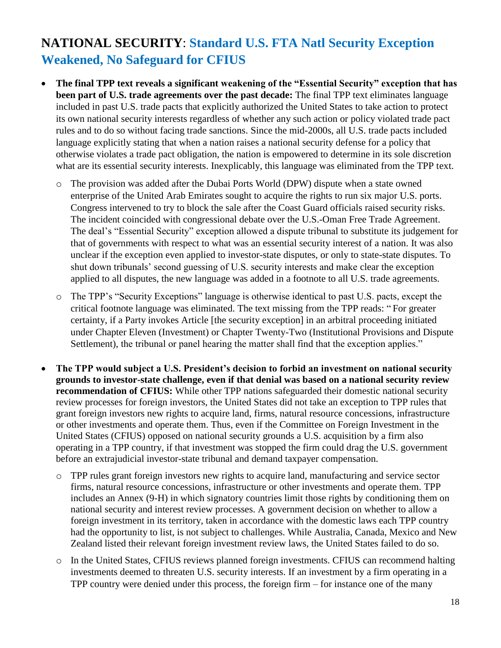# **NATIONAL SECURITY**: **Standard U.S. FTA Natl Security Exception Weakened, No Safeguard for CFIUS**

- **The final TPP text reveals a significant weakening of the "Essential Security" exception that has been part of U.S. trade agreements over the past decade:** The final TPP text eliminates language included in past U.S. trade pacts that explicitly authorized the United States to take action to protect its own national security interests regardless of whether any such action or policy violated trade pact rules and to do so without facing trade sanctions. Since the mid-2000s, all U.S. trade pacts included language explicitly stating that when a nation raises a national security defense for a policy that otherwise violates a trade pact obligation, the nation is empowered to determine in its sole discretion what are its essential security interests. Inexplicably, this language was eliminated from the TPP text.
	- o The provision was added after the Dubai Ports World (DPW) dispute when a state owned enterprise of the United Arab Emirates sought to acquire the rights to run six major U.S. ports. Congress intervened to try to block the sale after the Coast Guard officials raised security risks. The incident coincided with congressional debate over the U.S.-Oman Free Trade Agreement. The deal's "Essential Security" exception allowed a dispute tribunal to substitute its judgement for that of governments with respect to what was an essential security interest of a nation. It was also unclear if the exception even applied to investor-state disputes, or only to state-state disputes. To shut down tribunals' second guessing of U.S. security interests and make clear the exception applied to all disputes, the new language was added in a footnote to all U.S. trade agreements.
	- o The TPP's "Security Exceptions" language is otherwise identical to past U.S. pacts, except the critical footnote language was eliminated. The text missing from the TPP reads: " For greater certainty, if a Party invokes Article [the security exception] in an arbitral proceeding initiated under Chapter Eleven (Investment) or Chapter Twenty-Two (Institutional Provisions and Dispute Settlement), the tribunal or panel hearing the matter shall find that the exception applies."
- **The TPP would subject a U.S. President's decision to forbid an investment on national security grounds to investor-state challenge, even if that denial was based on a national security review recommendation of CFIUS:** While other TPP nations safeguarded their domestic national security review processes for foreign investors, the United States did not take an exception to TPP rules that grant foreign investors new rights to acquire land, firms, natural resource concessions, infrastructure or other investments and operate them. Thus, even if the Committee on Foreign Investment in the United States (CFIUS) opposed on national security grounds a U.S. acquisition by a firm also operating in a TPP country, if that investment was stopped the firm could drag the U.S. government before an extrajudicial investor-state tribunal and demand taxpayer compensation.
	- o TPP rules grant foreign investors new rights to acquire land, manufacturing and service sector firms, natural resource concessions, infrastructure or other investments and operate them. TPP includes an Annex (9-H) in which signatory countries limit those rights by conditioning them on national security and interest review processes. A government decision on whether to allow a foreign investment in its territory, taken in accordance with the domestic laws each TPP country had the opportunity to list, is not subject to challenges. While Australia, Canada, Mexico and New Zealand listed their relevant foreign investment review laws, the United States failed to do so.
	- o In the United States, CFIUS reviews planned foreign investments. CFIUS can recommend halting investments deemed to threaten U.S. security interests. If an investment by a firm operating in a TPP country were denied under this process, the foreign firm – for instance one of the many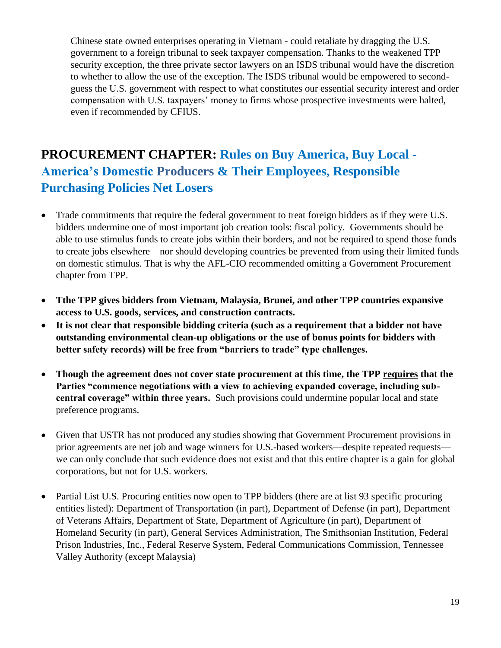Chinese state owned enterprises operating in Vietnam - could retaliate by dragging the U.S. government to a foreign tribunal to seek taxpayer compensation. Thanks to the weakened TPP security exception, the three private sector lawyers on an ISDS tribunal would have the discretion to whether to allow the use of the exception. The ISDS tribunal would be empowered to secondguess the U.S. government with respect to what constitutes our essential security interest and order compensation with U.S. taxpayers' money to firms whose prospective investments were halted, even if recommended by CFIUS.

# **PROCUREMENT CHAPTER: Rules on Buy America, Buy Local - America's Domestic Producers & Their Employees, Responsible Purchasing Policies Net Losers**

- Trade commitments that require the federal government to treat foreign bidders as if they were U.S. bidders undermine one of most important job creation tools: fiscal policy. Governments should be able to use stimulus funds to create jobs within their borders, and not be required to spend those funds to create jobs elsewhere—nor should developing countries be prevented from using their limited funds on domestic stimulus. That is why the AFL-CIO recommended omitting a Government Procurement chapter from TPP.
- **Tthe TPP gives bidders from Vietnam, Malaysia, Brunei, and other TPP countries expansive access to U.S. goods, services, and construction contracts.**
- **It is not clear that responsible bidding criteria (such as a requirement that a bidder not have outstanding environmental clean-up obligations or the use of bonus points for bidders with better safety records) will be free from "barriers to trade" type challenges.**
- **Though the agreement does not cover state procurement at this time, the TPP requires that the Parties "commence negotiations with a view to achieving expanded coverage, including subcentral coverage" within three years.** Such provisions could undermine popular local and state preference programs.
- Given that USTR has not produced any studies showing that Government Procurement provisions in prior agreements are net job and wage winners for U.S.-based workers—despite repeated requests we can only conclude that such evidence does not exist and that this entire chapter is a gain for global corporations, but not for U.S. workers.
- Partial List U.S. Procuring entities now open to TPP bidders (there are at list 93 specific procuring entities listed): Department of Transportation (in part), Department of Defense (in part), Department of Veterans Affairs, Department of State, Department of Agriculture (in part), Department of Homeland Security (in part), General Services Administration, The Smithsonian Institution, Federal Prison Industries, Inc., Federal Reserve System, Federal Communications Commission, Tennessee Valley Authority (except Malaysia)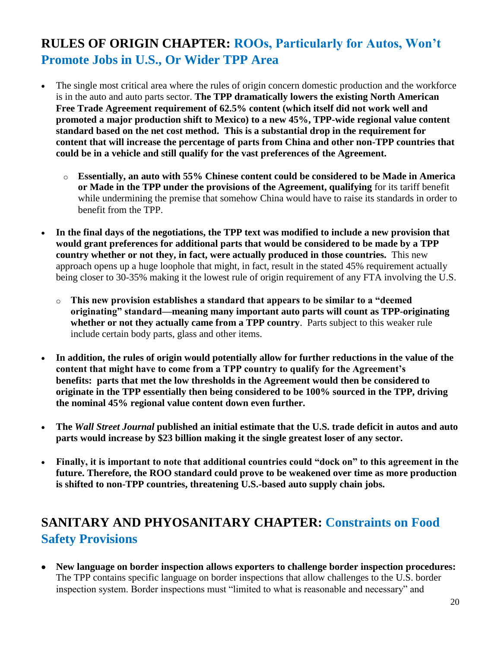# **RULES OF ORIGIN CHAPTER: ROOs, Particularly for Autos, Won't Promote Jobs in U.S., Or Wider TPP Area**

- The single most critical area where the rules of origin concern domestic production and the workforce is in the auto and auto parts sector. **The TPP dramatically lowers the existing North American Free Trade Agreement requirement of 62.5% content (which itself did not work well and promoted a major production shift to Mexico) to a new 45%, TPP-wide regional value content standard based on the net cost method. This is a substantial drop in the requirement for content that will increase the percentage of parts from China and other non-TPP countries that could be in a vehicle and still qualify for the vast preferences of the Agreement.**
	- o **Essentially, an auto with 55% Chinese content could be considered to be Made in America or Made in the TPP under the provisions of the Agreement, qualifying** for its tariff benefit while undermining the premise that somehow China would have to raise its standards in order to benefit from the TPP.
- **In the final days of the negotiations, the TPP text was modified to include a new provision that would grant preferences for additional parts that would be considered to be made by a TPP country whether or not they, in fact, were actually produced in those countries.** This new approach opens up a huge loophole that might, in fact, result in the stated 45% requirement actually being closer to 30-35% making it the lowest rule of origin requirement of any FTA involving the U.S.
	- o **This new provision establishes a standard that appears to be similar to a "deemed originating" standard—meaning many important auto parts will count as TPP-originating whether or not they actually came from a TPP country**. Parts subject to this weaker rule include certain body parts, glass and other items.
- **In addition, the rules of origin would potentially allow for further reductions in the value of the content that might have to come from a TPP country to qualify for the Agreement's benefits: parts that met the low thresholds in the Agreement would then be considered to originate in the TPP essentially then being considered to be 100% sourced in the TPP, driving the nominal 45% regional value content down even further.**
- **The** *Wall Street Journal* **published an initial estimate that the U.S. trade deficit in autos and auto parts would increase by \$23 billion making it the single greatest loser of any sector.**
- **Finally, it is important to note that additional countries could "dock on" to this agreement in the future. Therefore, the ROO standard could prove to be weakened over time as more production is shifted to non-TPP countries, threatening U.S.-based auto supply chain jobs.**

# **SANITARY AND PHYOSANITARY CHAPTER: Constraints on Food Safety Provisions**

 **New language on border inspection allows exporters to challenge border inspection procedures:**  The TPP contains specific language on border inspections that allow challenges to the U.S. border inspection system. Border inspections must "limited to what is reasonable and necessary" and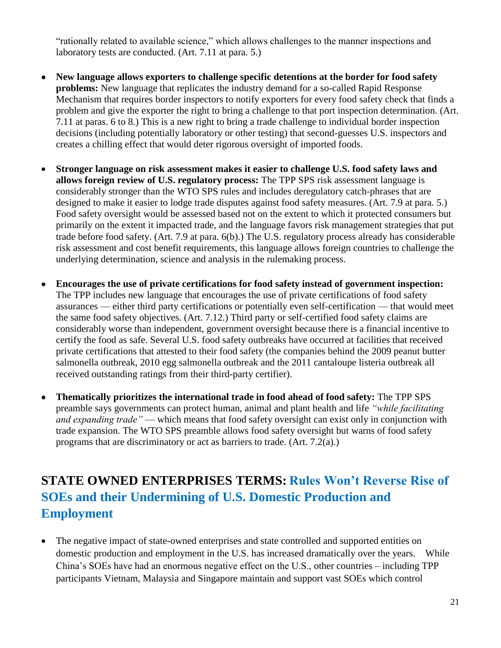"rationally related to available science," which allows challenges to the manner inspections and laboratory tests are conducted. (Art. 7.11 at para. 5.)

- **New language allows exporters to challenge specific detentions at the border for food safety problems:** New language that replicates the industry demand for a so-called Rapid Response Mechanism that requires border inspectors to notify exporters for every food safety check that finds a problem and give the exporter the right to bring a challenge to that port inspection determination. (Art. 7.11 at paras. 6 to 8.) This is a new right to bring a trade challenge to individual border inspection decisions (including potentially laboratory or other testing) that second-guesses U.S. inspectors and creates a chilling effect that would deter rigorous oversight of imported foods.
- **Stronger language on risk assessment makes it easier to challenge U.S. food safety laws and allows foreign review of U.S. regulatory process:** The TPP SPS risk assessment language is considerably stronger than the WTO SPS rules and includes deregulatory catch-phrases that are designed to make it easier to lodge trade disputes against food safety measures. (Art. 7.9 at para. 5.) Food safety oversight would be assessed based not on the extent to which it protected consumers but primarily on the extent it impacted trade, and the language favors risk management strategies that put trade before food safety. (Art. 7.9 at para. 6(b).) The U.S. regulatory process already has considerable risk assessment and cost benefit requirements, this language allows foreign countries to challenge the underlying determination, science and analysis in the rulemaking process.
- **Encourages the use of private certifications for food safety instead of government inspection:**  The TPP includes new language that encourages the use of private certifications of food safety assurances — either third party certifications or potentially even self-certification — that would meet the same food safety objectives. (Art. 7.12.) Third party or self-certified food safety claims are considerably worse than independent, government oversight because there is a financial incentive to certify the food as safe. Several U.S. food safety outbreaks have occurred at facilities that received private certifications that attested to their food safety (the companies behind the 2009 peanut butter salmonella outbreak, 2010 egg salmonella outbreak and the 2011 cantaloupe listeria outbreak all received outstanding ratings from their third-party certifier).
- **Thematically prioritizes the international trade in food ahead of food safety:** The TPP SPS preamble says governments can protect human, animal and plant health and life *"while facilitating and expanding trade"* — which means that food safety oversight can exist only in conjunction with trade expansion. The WTO SPS preamble allows food safety oversight but warns of food safety programs that are discriminatory or act as barriers to trade. (Art. 7.2(a).)

# **STATE OWNED ENTERPRISES TERMS: Rules Won't Reverse Rise of SOEs and their Undermining of U.S. Domestic Production and Employment**

• The negative impact of state-owned enterprises and state controlled and supported entities on domestic production and employment in the U.S. has increased dramatically over the years. While China's SOEs have had an enormous negative effect on the U.S., other countries – including TPP participants Vietnam, Malaysia and Singapore maintain and support vast SOEs which control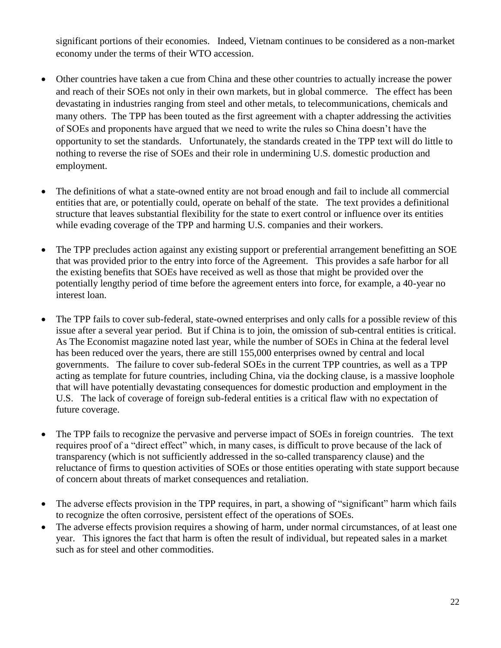significant portions of their economies. Indeed, Vietnam continues to be considered as a non-market economy under the terms of their WTO accession.

- Other countries have taken a cue from China and these other countries to actually increase the power and reach of their SOEs not only in their own markets, but in global commerce. The effect has been devastating in industries ranging from steel and other metals, to telecommunications, chemicals and many others. The TPP has been touted as the first agreement with a chapter addressing the activities of SOEs and proponents have argued that we need to write the rules so China doesn't have the opportunity to set the standards. Unfortunately, the standards created in the TPP text will do little to nothing to reverse the rise of SOEs and their role in undermining U.S. domestic production and employment.
- The definitions of what a state-owned entity are not broad enough and fail to include all commercial entities that are, or potentially could, operate on behalf of the state. The text provides a definitional structure that leaves substantial flexibility for the state to exert control or influence over its entities while evading coverage of the TPP and harming U.S. companies and their workers.
- The TPP precludes action against any existing support or preferential arrangement benefitting an SOE that was provided prior to the entry into force of the Agreement. This provides a safe harbor for all the existing benefits that SOEs have received as well as those that might be provided over the potentially lengthy period of time before the agreement enters into force, for example, a 40-year no interest loan.
- The TPP fails to cover sub-federal, state-owned enterprises and only calls for a possible review of this issue after a several year period. But if China is to join, the omission of sub-central entities is critical. As The Economist magazine noted last year, while the number of SOEs in China at the federal level has been reduced over the years, there are still 155,000 enterprises owned by central and local governments. The failure to cover sub-federal SOEs in the current TPP countries, as well as a TPP acting as template for future countries, including China, via the docking clause, is a massive loophole that will have potentially devastating consequences for domestic production and employment in the U.S. The lack of coverage of foreign sub-federal entities is a critical flaw with no expectation of future coverage.
- The TPP fails to recognize the pervasive and perverse impact of SOEs in foreign countries. The text requires proof of a "direct effect" which, in many cases, is difficult to prove because of the lack of transparency (which is not sufficiently addressed in the so-called transparency clause) and the reluctance of firms to question activities of SOEs or those entities operating with state support because of concern about threats of market consequences and retaliation.
- The adverse effects provision in the TPP requires, in part, a showing of "significant" harm which fails to recognize the often corrosive, persistent effect of the operations of SOEs.
- The adverse effects provision requires a showing of harm, under normal circumstances, of at least one year. This ignores the fact that harm is often the result of individual, but repeated sales in a market such as for steel and other commodities.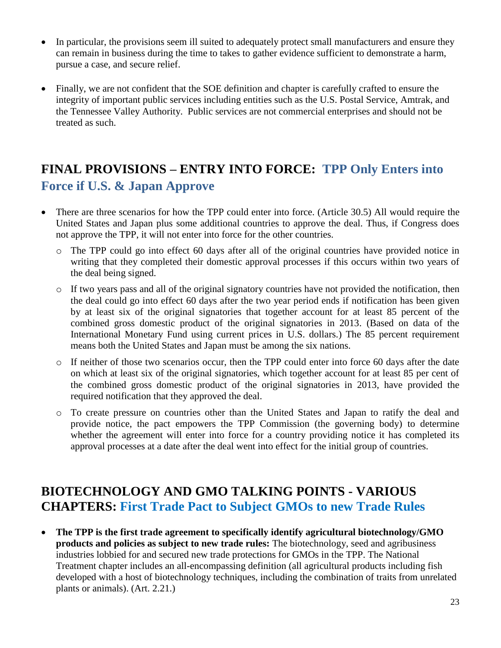- In particular, the provisions seem ill suited to adequately protect small manufacturers and ensure they can remain in business during the time to takes to gather evidence sufficient to demonstrate a harm, pursue a case, and secure relief.
- Finally, we are not confident that the SOE definition and chapter is carefully crafted to ensure the integrity of important public services including entities such as the U.S. Postal Service, Amtrak, and the Tennessee Valley Authority. Public services are not commercial enterprises and should not be treated as such.

# **FINAL PROVISIONS – ENTRY INTO FORCE: TPP Only Enters into Force if U.S. & Japan Approve**

- There are three scenarios for how the TPP could enter into force. (Article 30.5) All would require the United States and Japan plus some additional countries to approve the deal. Thus, if Congress does not approve the TPP, it will not enter into force for the other countries.
	- o The TPP could go into effect 60 days after all of the original countries have provided notice in writing that they completed their domestic approval processes if this occurs within two years of the deal being signed.
	- $\circ$  If two years pass and all of the original signatory countries have not provided the notification, then the deal could go into effect 60 days after the two year period ends if notification has been given by at least six of the original signatories that together account for at least 85 percent of the combined gross domestic product of the original signatories in 2013. (Based on data of the International Monetary Fund using current prices in U.S. dollars.) The 85 percent requirement means both the United States and Japan must be among the six nations.
	- o If neither of those two scenarios occur, then the TPP could enter into force 60 days after the date on which at least six of the original signatories, which together account for at least 85 per cent of the combined gross domestic product of the original signatories in 2013, have provided the required notification that they approved the deal.
	- o To create pressure on countries other than the United States and Japan to ratify the deal and provide notice, the pact empowers the TPP Commission (the governing body) to determine whether the agreement will enter into force for a country providing notice it has completed its approval processes at a date after the deal went into effect for the initial group of countries.

### **BIOTECHNOLOGY AND GMO TALKING POINTS - VARIOUS CHAPTERS: First Trade Pact to Subject GMOs to new Trade Rules**

 **The TPP is the first trade agreement to specifically identify agricultural biotechnology/GMO products and policies as subject to new trade rules:** The biotechnology, seed and agribusiness industries lobbied for and secured new trade protections for GMOs in the TPP. The National Treatment chapter includes an all-encompassing definition (all agricultural products including fish developed with a host of biotechnology techniques, including the combination of traits from unrelated plants or animals). (Art. 2.21.)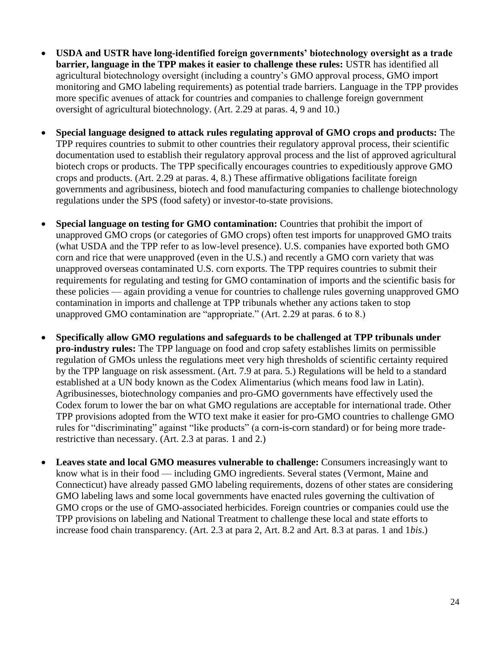- **USDA and USTR have long-identified foreign governments' biotechnology oversight as a trade barrier, language in the TPP makes it easier to challenge these rules:** USTR has identified all agricultural biotechnology oversight (including a country's GMO approval process, GMO import monitoring and GMO labeling requirements) as potential trade barriers. Language in the TPP provides more specific avenues of attack for countries and companies to challenge foreign government oversight of agricultural biotechnology. (Art. 2.29 at paras. 4, 9 and 10.)
- **Special language designed to attack rules regulating approval of GMO crops and products:** The TPP requires countries to submit to other countries their regulatory approval process, their scientific documentation used to establish their regulatory approval process and the list of approved agricultural biotech crops or products. The TPP specifically encourages countries to expeditiously approve GMO crops and products. (Art. 2.29 at paras. 4, 8.) These affirmative obligations facilitate foreign governments and agribusiness, biotech and food manufacturing companies to challenge biotechnology regulations under the SPS (food safety) or investor-to-state provisions.
- **Special language on testing for GMO contamination:** Countries that prohibit the import of unapproved GMO crops (or categories of GMO crops) often test imports for unapproved GMO traits (what USDA and the TPP refer to as low-level presence). U.S. companies have exported both GMO corn and rice that were unapproved (even in the U.S.) and recently a GMO corn variety that was unapproved overseas contaminated U.S. corn exports. The TPP requires countries to submit their requirements for regulating and testing for GMO contamination of imports and the scientific basis for these policies — again providing a venue for countries to challenge rules governing unapproved GMO contamination in imports and challenge at TPP tribunals whether any actions taken to stop unapproved GMO contamination are "appropriate." (Art. 2.29 at paras. 6 to 8.)
- **Specifically allow GMO regulations and safeguards to be challenged at TPP tribunals under pro-industry rules:** The TPP language on food and crop safety establishes limits on permissible regulation of GMOs unless the regulations meet very high thresholds of scientific certainty required by the TPP language on risk assessment. (Art. 7.9 at para. 5.) Regulations will be held to a standard established at a UN body known as the Codex Alimentarius (which means food law in Latin). Agribusinesses, biotechnology companies and pro-GMO governments have effectively used the Codex forum to lower the bar on what GMO regulations are acceptable for international trade. Other TPP provisions adopted from the WTO text make it easier for pro-GMO countries to challenge GMO rules for "discriminating" against "like products" (a corn-is-corn standard) or for being more traderestrictive than necessary. (Art. 2.3 at paras. 1 and 2.)
- **Leaves state and local GMO measures vulnerable to challenge:** Consumers increasingly want to know what is in their food — including GMO ingredients. Several states (Vermont, Maine and Connecticut) have already passed GMO labeling requirements, dozens of other states are considering GMO labeling laws and some local governments have enacted rules governing the cultivation of GMO crops or the use of GMO-associated herbicides. Foreign countries or companies could use the TPP provisions on labeling and National Treatment to challenge these local and state efforts to increase food chain transparency. (Art. 2.3 at para 2, Art. 8.2 and Art. 8.3 at paras. 1 and 1*bis*.)